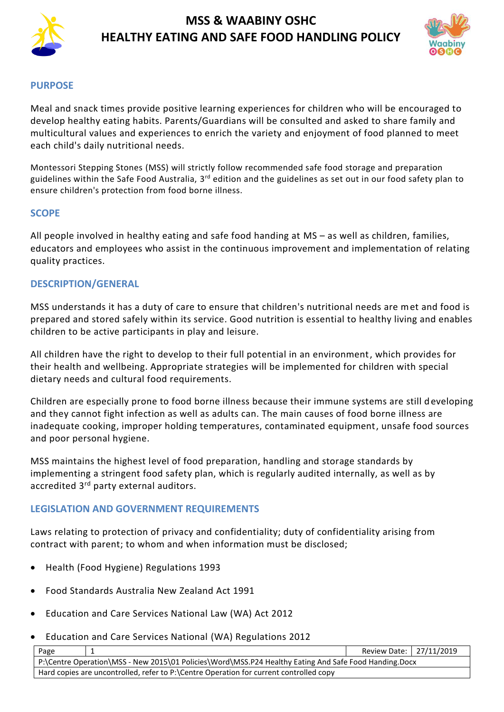



#### **PURPOSE**

Meal and snack times provide positive learning experiences for children who will be encouraged to develop healthy eating habits. Parents/Guardians will be consulted and asked to share family and multicultural values and experiences to enrich the variety and enjoyment of food planned to meet each child's daily nutritional needs.

Montessori Stepping Stones (MSS) will strictly follow recommended safe food storage and preparation guidelines within the Safe Food Australia, 3<sup>rd</sup> edition and the guidelines as set out in our food safety plan to ensure children's protection from food borne illness.

#### **SCOPE**

All people involved in healthy eating and safe food handing at MS – as well as children, families, educators and employees who assist in the continuous improvement and implementation of relating quality practices.

### **DESCRIPTION/GENERAL**

MSS understands it has a duty of care to ensure that children's nutritional needs are met and food is prepared and stored safely within its service. Good nutrition is essential to healthy living and enables children to be active participants in play and leisure.

All children have the right to develop to their full potential in an environment, which provides for their health and wellbeing. Appropriate strategies will be implemented for children with special dietary needs and cultural food requirements.

Children are especially prone to food borne illness because their immune systems are still developing and they cannot fight infection as well as adults can. The main causes of food borne illness are inadequate cooking, improper holding temperatures, contaminated equipment, unsafe food sources and poor personal hygiene.

MSS maintains the highest level of food preparation, handling and storage standards by implementing a stringent food safety plan, which is regularly audited internally, as well as by accredited 3rd party external auditors.

#### **LEGISLATION AND GOVERNMENT REQUIREMENTS**

Laws relating to protection of privacy and confidentiality; duty of confidentiality arising from contract with parent; to whom and when information must be disclosed;

- [Health \(Food Hygiene\) Regulations 1993](http://www.slp.wa.gov.au/legislation/agency.nsf/docep_main_mrtitle_4245_homepage.html)
- Food Standards Australia New Zealand Act 1991
- Education and Care Services National Law (WA) Act 2012
- Education and Care Services National (WA) Regulations 2012

| Page                                                                                                  |                                                                                        | Review Date:   27/11/2019 |  |
|-------------------------------------------------------------------------------------------------------|----------------------------------------------------------------------------------------|---------------------------|--|
| P:\Centre Operation\MSS - New 2015\01 Policies\Word\MSS.P24 Healthy Eating And Safe Food Handing.Docx |                                                                                        |                           |  |
|                                                                                                       | Hard copies are uncontrolled, refer to P:\Centre Operation for current controlled copy |                           |  |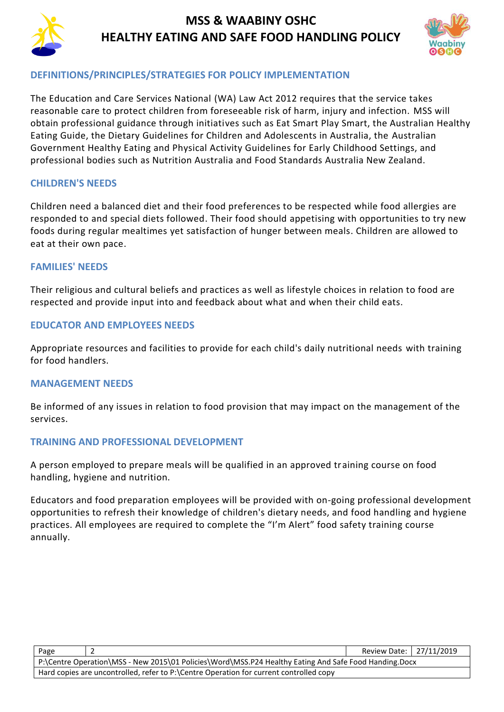



### **DEFINITIONS/PRINCIPLES/STRATEGIES FOR POLICY IMPLEMENTATION**

The Education and Care Services National (WA) Law Act 2012 requires that the service takes reasonable care to protect children from foreseeable risk of harm, injury and infection. MSS will obtain professional guidance through initiatives such as Eat Smart Play Smart, the Australian Healthy Eating Guide, the Dietary Guidelines for Children and Adolescents in Australia, the Australian Government Healthy Eating and Physical Activity Guidelines for Early Childhood Settings, and professional bodies such as Nutrition Australia and Food Standards Australia New Zealand.

### **CHILDREN'S NEEDS**

Children need a balanced diet and their food preferences to be respected while food allergies are responded to and special diets followed. Their food should appetising with opportunities to try new foods during regular mealtimes yet satisfaction of hunger between meals. Children are allowed to eat at their own pace.

#### **FAMILIES' NEEDS**

Their religious and cultural beliefs and practices as well as lifestyle choices in relation to food are respected and provide input into and feedback about what and when their child eats.

### **EDUCATOR AND EMPLOYEES NEEDS**

Appropriate resources and facilities to provide for each child's daily nutritional needs with training for food handlers.

#### **MANAGEMENT NEEDS**

Be informed of any issues in relation to food provision that may impact on the management of the services.

#### **TRAINING AND PROFESSIONAL DEVELOPMENT**

A person employed to prepare meals will be qualified in an approved training course on food handling, hygiene and nutrition.

Educators and food preparation employees will be provided with on-going professional development opportunities to refresh their knowledge of children's dietary needs, and food handling and hygiene practices. All employees are required to complete the "I'm Alert" food safety training course annually.

| Page                                                                                                  |  | Review Date: 27/11/2019 |  |
|-------------------------------------------------------------------------------------------------------|--|-------------------------|--|
| P:\Centre Operation\MSS - New 2015\01 Policies\Word\MSS.P24 Healthy Eating And Safe Food Handing.Docx |  |                         |  |
| Hard copies are uncontrolled, refer to P:\Centre Operation for current controlled copy                |  |                         |  |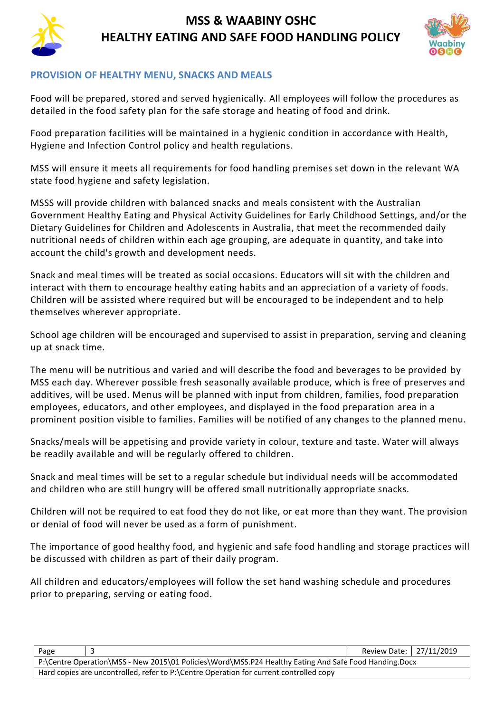



### **PROVISION OF HEALTHY MENU, SNACKS AND MEALS**

Food will be prepared, stored and served hygienically. All employees will follow the procedures as detailed in the food safety plan for the safe storage and heating of food and drink.

Food preparation facilities will be maintained in a hygienic condition in accordance with Health, Hygiene and Infection Control policy and health regulations.

MSS will ensure it meets all requirements for food handling premises set down in the relevant WA state food hygiene and safety legislation.

MSSS will provide children with balanced snacks and meals consistent with the Australian Government Healthy Eating and Physical Activity Guidelines for Early Childhood Settings, and/or the Dietary Guidelines for Children and Adolescents in Australia, that meet the recommended daily nutritional needs of children within each age grouping, are adequate in quantity, and take into account the child's growth and development needs.

Snack and meal times will be treated as social occasions. Educators will sit with the children and interact with them to encourage healthy eating habits and an appreciation of a variety of foods. Children will be assisted where required but will be encouraged to be independent and to help themselves wherever appropriate.

School age children will be encouraged and supervised to assist in preparation, serving and cleaning up at snack time.

The menu will be nutritious and varied and will describe the food and beverages to be provided by MSS each day. Wherever possible fresh seasonally available produce, which is free of preserves and additives, will be used. Menus will be planned with input from children, families, food preparation employees, educators, and other employees, and displayed in the food preparation area in a prominent position visible to families. Families will be notified of any changes to the planned menu.

Snacks/meals will be appetising and provide variety in colour, texture and taste. Water will always be readily available and will be regularly offered to children.

Snack and meal times will be set to a regular schedule but individual needs will be accommodated and children who are still hungry will be offered small nutritionally appropriate snacks.

Children will not be required to eat food they do not like, or eat more than they want. The provision or denial of food will never be used as a form of punishment.

The importance of good healthy food, and hygienic and safe food handling and storage practices will be discussed with children as part of their daily program.

All children and educators/employees will follow the set hand washing schedule and procedures prior to preparing, serving or eating food.

| Page                                                                                                  |  | Review Date:   27/11/2019 |  |
|-------------------------------------------------------------------------------------------------------|--|---------------------------|--|
| P:\Centre Operation\MSS - New 2015\01 Policies\Word\MSS.P24 Healthy Eating And Safe Food Handing.Docx |  |                           |  |
| Hard copies are uncontrolled, refer to P:\Centre Operation for current controlled copy                |  |                           |  |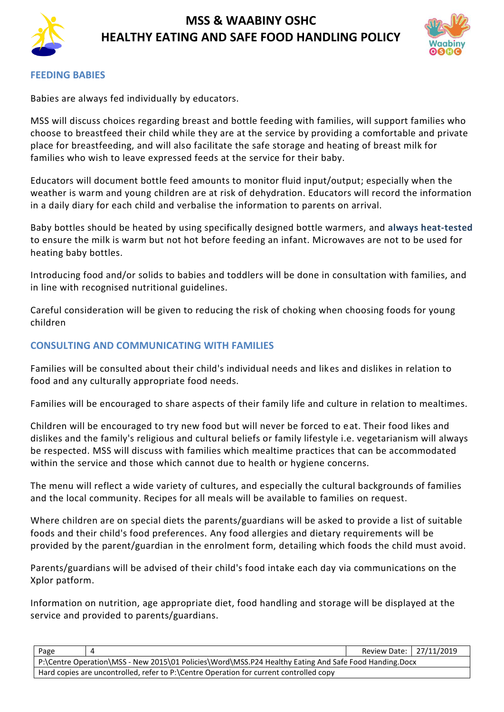



#### **FEEDING BABIES**

Babies are always fed individually by educators.

MSS will discuss choices regarding breast and bottle feeding with families, will support families who choose to breastfeed their child while they are at the service by providing a comfortable and private place for breastfeeding, and will also facilitate the safe storage and heating of breast milk for families who wish to leave expressed feeds at the service for their baby.

Educators will document bottle feed amounts to monitor fluid input/output; especially when the weather is warm and young children are at risk of dehydration. Educators will record the information in a daily diary for each child and verbalise the information to parents on arrival.

Baby bottles should be heated by using specifically designed bottle warmers, and **always heat-tested**  to ensure the milk is warm but not hot before feeding an infant. Microwaves are not to be used for heating baby bottles.

Introducing food and/or solids to babies and toddlers will be done in consultation with families, and in line with recognised nutritional guidelines.

Careful consideration will be given to reducing the risk of choking when choosing foods for young children

#### **CONSULTING AND COMMUNICATING WITH FAMILIES**

Families will be consulted about their child's individual needs and likes and dislikes in relation to food and any culturally appropriate food needs.

Families will be encouraged to share aspects of their family life and culture in relation to mealtimes.

Children will be encouraged to try new food but will never be forced to eat. Their food likes and dislikes and the family's religious and cultural beliefs or family lifestyle i.e. vegetarianism will always be respected. MSS will discuss with families which mealtime practices that can be accommodated within the service and those which cannot due to health or hygiene concerns.

The menu will reflect a wide variety of cultures, and especially the cultural backgrounds of families and the local community. Recipes for all meals will be available to families on request.

Where children are on special diets the parents/guardians will be asked to provide a list of suitable foods and their child's food preferences. Any food allergies and dietary requirements will be provided by the parent/guardian in the enrolment form, detailing which foods the child must avoid.

Parents/guardians will be advised of their child's food intake each day via communications on the Xplor patform.

Information on nutrition, age appropriate diet, food handling and storage will be displayed at the service and provided to parents/guardians.

| Page                                                                                                  |  | Review Date: 27/11/2019 |  |
|-------------------------------------------------------------------------------------------------------|--|-------------------------|--|
| P:\Centre Operation\MSS - New 2015\01 Policies\Word\MSS.P24 Healthy Eating And Safe Food Handing.Docx |  |                         |  |
| Hard copies are uncontrolled, refer to P:\Centre Operation for current controlled copy                |  |                         |  |